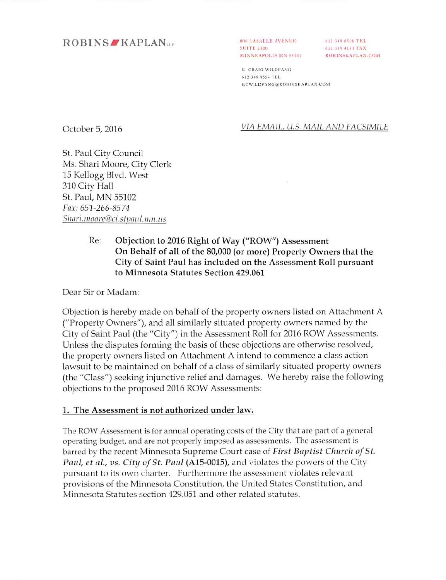## ROBINS KAPLAN<sub>ue</sub>

**800 LASALLE AVENUI** SUITE 2800 MINNEAPOLIS MN 554 612 149 SSOO FBI. *I I M I- A X* ROBINSKAPLAN.COM

*K CRAIG WILDFANG 612 }49 8554 TK1-* KCWILDFANG@ROBINSKAPLAN.COM

October 5, 2016

**VIA EMAIL, U.S. MAIL AMP LACSIMILE**

St. Paul City Council Ms. Shari Moore, City Clerk 15 Kellogg Blvd. West 310 City Hall St. Paul, MN 55102 **Fax: 651-266-8574** Shari.moore@ci.stpaul.nm.us

## Re: Objection to 2016 Right of Way ("ROW") Assessment On Behalf of all of the 80,000 (or more) Property Owners that the City of Saint Paul has included on the Assessment Roll pursuant to Minnesota Statutes Section 429.061

Dear Sir or Madam:

Objection is hereby made on behalf of the property owners listed on Attachment A ("Property Owners"), and all similarly situated property owners named by the City of Saint Paul (the "City") in the Assessment Roll for 2016 ROW Assessments. Unless the disputes forming the basis of these objections are otherwise resolved, the property owners listed on Attachment A intend to commence a class action lawsuit to be maintained on behalf of a class of similarly situated property owners (the "Class") seeking injunctive relief and damages. We hereby raise the following objections to the proposed 2016 ROW Assessments:

#### 1, The Assessment is not authorized under law.

The ROW Assessment is for annual operating costs of the City that are part of a general operating budget, and are not properly imposed as assessments. The assessment is barred by the recent Minnesota Supreme Court case of **First Baptist Church of St. Paul, et al., vs. City of St. Paul (A15-0015), and violates the powers of the City** pursuant to its own charter. Furthermore the assessment violates relevant provisions of the Minnesota Constitution, the United States Constitution, and Minnesota Statutes section 429.051 and other related statutes.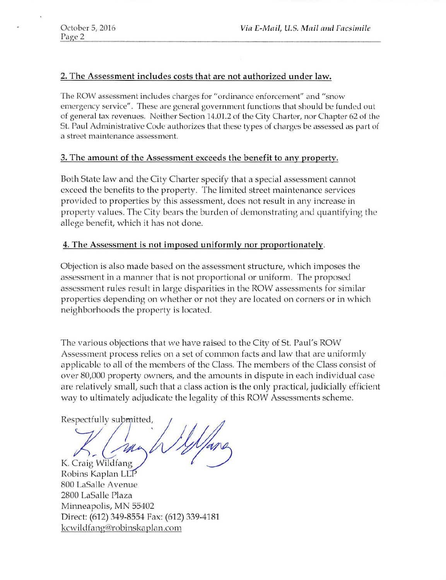## 2. The Assessment includes costs that are not authorized under law.

The ROW assessment includes charges for "ordinance enforcement" and "snow emergency service". These are general government functions that should be funded out of general tax revenues. Neither Section 14.01.2 of the City Charter, nor Chapter 62 of the St. Paul Administrative Code authorizes that these types of charges be assessed as part of <sup>a</sup> street maintenance assessment.

#### 3. The amount of the Assessment exceeds the benefit to any property.

Both State law and the City Charter specify that a special assessment cannot exceed the benefits to the property. The limited street maintenance services provided to properties by this assessment, does not result in any increase in property values. The City bears the burden of demonstrating and quantifying the allege benefit, which it has not done.

#### 4. The Assessment is not imposed uniformly nor proportionately.

Objection is also made based on the assessment structure, which imposes the assessment in a manner that is not proportional or uniform. The proposed assessment rules result in large disparities in the ROW assessments for similar properties depending on whether or not they are located on corners or in which neighborhoods the property is located.

The various objections that we have raised to the City of St. Paul's ROW Assessment process relies on a set of common facts and law that are uniformly applicable to all of the members of the Class. The members of the Class consist of over 80,000 property owners, and the amounts in dispute in each individual case are relatively small, such that a class action is the only practical, judicially efficient way to ultimately adjudicate the legality of this ROW Assessments scheme.

Respectfully submitted,

K. Craig Wildfang

Robins Kaplan 800 LaSalle Avenue 2800 LaSalle Plaza Minneapolis, MN 55402 Direct: (612) 349-8554 Fax: (612) 339-4181 kcwildfang@robinskaplan.com